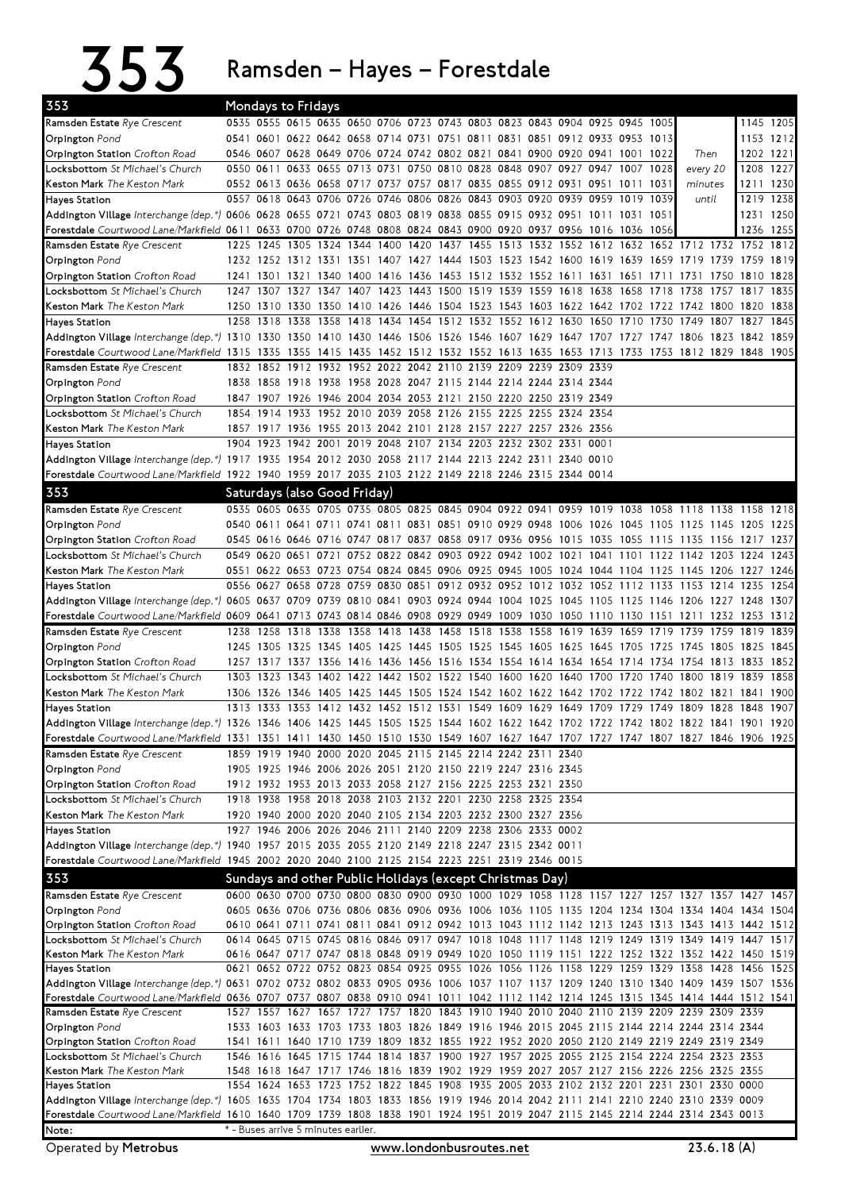353 Ramsden–Hayes–Forestdale

| 353                                                                                                                                                               | Mondays to Fridays |                |                                                                       |      |                |      |           |      |      |      |                                                             |           |      |                                                                                                   |                     |                |           |      |              |
|-------------------------------------------------------------------------------------------------------------------------------------------------------------------|--------------------|----------------|-----------------------------------------------------------------------|------|----------------|------|-----------|------|------|------|-------------------------------------------------------------|-----------|------|---------------------------------------------------------------------------------------------------|---------------------|----------------|-----------|------|--------------|
| Ramsden Estate Rye Crescent                                                                                                                                       |                    |                |                                                                       |      |                |      |           |      |      |      |                                                             |           |      | 0535 0555 0615 0635 0650 0706 0723 0743 0803 0823 0843 0904 0925 0945 1005                        |                     |                |           |      | 1145 1205    |
| Orpington Pond                                                                                                                                                    |                    |                |                                                                       |      |                |      |           |      |      |      |                                                             |           |      | 0541 0601 0622 0642 0658 0714 0731 0751 0811 0831 0851 0912 0933 0953 1013                        |                     |                |           |      | 1153 1212    |
| <b>Orpington Station</b> Crofton Road                                                                                                                             |                    |                |                                                                       |      |                |      |           |      |      |      |                                                             |           |      | 0546 0607 0628 0649 0706 0724 0742 0802 0821 0841 0900 0920 0941 1001 1022                        |                     | Then           |           |      | 1202 1221    |
| Locksbottom St Michael's Church                                                                                                                                   |                    | 0550 0611      |                                                                       |      |                |      |           |      |      |      | 0633 0655 0713 0731 0750 0810 0828 0848 0907 0927 0947 1007 |           |      |                                                                                                   | 1028                | every 20       |           | 1208 | 1227         |
| Keston Mark The Keston Mark                                                                                                                                       |                    |                |                                                                       |      |                |      |           |      |      |      |                                                             |           |      | 0552 0613 0636 0658 0717 0737 0757 0817 0835 0855 0912 0931 0951 1011                             | 1031                | minutes        |           |      | 1211 1230    |
| <b>Hayes Station</b>                                                                                                                                              |                    |                | 0557 0618 0643 0706 0726 0746 0806 0826 0843 0903 0920 0939 0959 1019 |      |                |      |           |      |      |      |                                                             |           |      |                                                                                                   | 1039                | until          |           | 1219 | 1238         |
| Addington Village Interchange (dep.*) 0606 0628 0655 0721 0743 0803 0819 0838 0855 0915 0932 0951 1011 1031 1051                                                  |                    |                |                                                                       |      |                |      |           |      |      |      |                                                             |           |      |                                                                                                   |                     |                |           |      | 1231 1250    |
| Forestdale Courtwood Lane/Markfield 0611 0633 0700 0726 0748 0808 0824 0843 0900 0920 0937 0956 1016 1036 1056                                                    |                    |                |                                                                       |      |                |      |           |      |      |      |                                                             |           |      |                                                                                                   |                     |                |           |      | 1236 1255    |
| Ramsden Estate Rye Crescent                                                                                                                                       | 1225               | 1245           | 1305                                                                  |      | 1324 1344 1400 |      | 1420 1437 |      | 1455 | 1513 | 1532 1552                                                   |           | 1612 | 1632                                                                                              |                     | 1652 1712 1732 |           | 1752 | 1812         |
| Orpington Pond                                                                                                                                                    |                    |                |                                                                       |      |                |      |           |      |      |      |                                                             |           |      | 1232 1252 1312 1331 1351 1407 1427 1444 1503 1523 1542 1600 1619 1639 1659 1719 1739 1759 1819    |                     |                |           |      |              |
| Orpington Station Crofton Road                                                                                                                                    |                    |                |                                                                       |      |                |      |           |      |      |      |                                                             |           |      | 1241 1301 1321 1340 1400 1416 1436 1453 1512 1532 1552 1611 1631 1651 1711 1731 1750 1810         |                     |                |           |      | 1828         |
| Locksbottom St Michael's Church                                                                                                                                   | 1247               | 1307           | 1327                                                                  | 1347 | 1407           |      |           |      |      |      | 1423 1443 1500 1519 1539 1559 1618                          |           | 1638 | 1658                                                                                              | 1718                | 1738           | 1757      | 1817 | 1835         |
| Keston Mark The Keston Mark                                                                                                                                       | 1258               | 1318 1338      |                                                                       | 1358 | 1418           |      |           |      |      |      | 1434 1454 1512 1532 1552 1612 1630                          |           | 1650 | 1250 1310 1330 1350 1410 1426 1446 1504 1523 1543 1603 1622 1642 1702 1722 1742 1800 1820<br>1710 | 1730                | 1749           | 1807      | 1827 | 1838<br>1845 |
| <b>Hayes Station</b><br>Addington Village Interchange (dep.*) 1310 1330 1350 1410 1430 1446 1506 1526 1546 1607 1629 1647 1707 1727 1747 1806 1823 1842           |                    |                |                                                                       |      |                |      |           |      |      |      |                                                             |           |      |                                                                                                   |                     |                |           |      | 1859         |
| Forestdale Courtwood Lane/Markfield 1315 1335 1355 1415 1435 1452 1512 1532 1552 1613 1635 1653 1713 1733 1753 1812 1829 1848 1905                                |                    |                |                                                                       |      |                |      |           |      |      |      |                                                             |           |      |                                                                                                   |                     |                |           |      |              |
| Ramsden Estate Rye Crescent                                                                                                                                       |                    |                | 1832 1852 1912 1932 1952 2022 2042 2110 2139 2209 2239 2309 2339      |      |                |      |           |      |      |      |                                                             |           |      |                                                                                                   |                     |                |           |      |              |
| <b>Orpington</b> Pond                                                                                                                                             |                    |                | 1838 1858 1918 1938 1958 2028 2047 2115 2144 2214 2244 2314 2344      |      |                |      |           |      |      |      |                                                             |           |      |                                                                                                   |                     |                |           |      |              |
| Orpington Station Crofton Road                                                                                                                                    |                    |                | 1847 1907 1926 1946 2004 2034 2053 2121 2150 2220 2250 2319 2349      |      |                |      |           |      |      |      |                                                             |           |      |                                                                                                   |                     |                |           |      |              |
| Locksbottom St Michael's Church                                                                                                                                   |                    | 1854 1914 1933 |                                                                       |      |                |      |           |      |      |      | 1952 2010 2039 2058 2126 2155 2225 2255 2324 2354           |           |      |                                                                                                   |                     |                |           |      |              |
| <b>Keston Mark</b> The Keston Mark                                                                                                                                |                    |                | 1857 1917 1936 1955 2013 2042 2101 2128 2157 2227 2257 2326 2356      |      |                |      |           |      |      |      |                                                             |           |      |                                                                                                   |                     |                |           |      |              |
| <b>Hayes Station</b>                                                                                                                                              |                    |                | 1904 1923 1942 2001 2019 2048 2107 2134 2203 2232 2302 2331 0001      |      |                |      |           |      |      |      |                                                             |           |      |                                                                                                   |                     |                |           |      |              |
| Addington Village Interchange (dep.*) 1917 1935 1954 2012 2030 2058 2117 2144 2213 2242 2311 2340 0010                                                            |                    |                |                                                                       |      |                |      |           |      |      |      |                                                             |           |      |                                                                                                   |                     |                |           |      |              |
| Forestdale Courtwood Lane/Markfield 1922 1940 1959 2017 2035 2103 2122 2149 2218 2246 2315 2344 0014                                                              |                    |                |                                                                       |      |                |      |           |      |      |      |                                                             |           |      |                                                                                                   |                     |                |           |      |              |
| 353                                                                                                                                                               |                    |                | Saturdays (also Good Friday)                                          |      |                |      |           |      |      |      |                                                             |           |      |                                                                                                   |                     |                |           |      |              |
| Ramsden Estate Rye Crescent                                                                                                                                       |                    |                |                                                                       |      |                |      |           |      |      |      |                                                             |           |      | 0535 0605 0635 0705 0735 0805 0825 0845 0904 0922 0941 0959 1019 1038 1058 1118 1138 1158 1218    |                     |                |           |      |              |
| Orpington Pond                                                                                                                                                    |                    |                |                                                                       |      |                |      |           |      |      |      |                                                             |           |      | 0540 0611 0641 0711 0741 0811 0831 0851 0910 0929 0948 1006 1026 1045 1105 1125 1145 1205 1225    |                     |                |           |      |              |
| Orpington Station Crofton Road                                                                                                                                    |                    |                |                                                                       |      |                |      |           |      |      |      |                                                             |           |      | 0545 0616 0646 0716 0747 0817 0837 0858 0917 0936 0956 1015 1035 1055 1115 1135 1156 1217 1237    |                     |                |           |      |              |
| Locksbottom St Michael's Church                                                                                                                                   |                    |                | 0549 0620 0651 0721 0752 0822 0842 0903 0922 0942 1002 1021           |      |                |      |           |      |      |      |                                                             |           |      | 1041 1101 1122 1142 1203 1224                                                                     |                     |                |           |      | 1243         |
| Keston Mark The Keston Mark                                                                                                                                       |                    |                |                                                                       |      |                |      |           |      |      |      |                                                             |           |      | 0551 0622 0653 0723 0754 0824 0845 0906 0925 0945 1005 1024 1044 1104 1125 1145 1206 1227         |                     |                |           |      | 1246         |
| <b>Hayes Station</b>                                                                                                                                              |                    |                | 0556 0627 0658 0728                                                   |      |                |      |           |      |      |      |                                                             |           |      | 0759 0830 0851 0912 0932 0952 1012 1032 1052 1112 1133 1153 1214 1235                             |                     |                |           |      | 1254         |
| Addington Village Interchange (dep.*) 0605 0637 0709 0739 0810 0841 0903 0924 0944 1004 1025 1045 1105 1125 1146 1206 1227 1248                                   |                    |                |                                                                       |      |                |      |           |      |      |      |                                                             |           |      |                                                                                                   |                     |                |           |      | 1307         |
| Forestdale Courtwood Lane/Markfield 0609 0641 0713 0743 0814 0846 0908 0929 0949 1009 1030 1050 1110 1130 1151 1211 1232 1253 1312                                |                    |                |                                                                       |      |                |      |           |      |      |      |                                                             |           |      |                                                                                                   |                     |                |           |      |              |
|                                                                                                                                                                   |                    |                |                                                                       |      |                |      |           |      |      |      |                                                             |           |      |                                                                                                   |                     |                |           |      |              |
| Ramsden Estate Rye Crescent                                                                                                                                       | 1238               | 1258           | 1318                                                                  | 1338 | 1358           | 1418 | 1438      | 1458 | 1518 | 1538 | 1558                                                        | 1619 1639 |      | 1659                                                                                              | 1719                | 1739           | 1759      | 1819 | 1839         |
| Orpington Pond                                                                                                                                                    |                    |                | 1245 1305 1325 1345                                                   |      |                |      |           |      |      |      | 1405 1425 1445 1505 1525 1545 1605 1625 1645 1705           |           |      |                                                                                                   | 1725                | 1745           | 1805 1825 |      | 1845         |
| Orpington Station Crofton Road                                                                                                                                    |                    |                |                                                                       |      |                |      |           |      |      |      |                                                             |           |      | 1257 1317 1337 1356 1416 1436 1456 1516 1534 1554 1614 1634 1654 1714 1734 1754 1813 1833         |                     |                |           |      | 1852         |
| Locksbottom St Michael's Church                                                                                                                                   |                    |                | 1303 1323 1343 1402 1422 1442 1502 1522 1540 1600 1620 1640 1700      |      |                |      |           |      |      |      |                                                             |           |      | 1720                                                                                              | 1740                | 1800           | 1819      | 1839 | 1858         |
| <b>Keston Mark</b> The Keston Mark                                                                                                                                |                    |                |                                                                       |      |                |      |           |      |      |      |                                                             |           |      | 1306 1326 1346 1405 1425 1445 1505 1524 1542 1602 1622 1642 1702 1722 1742 1802 1821 1841         |                     |                |           |      | 1900         |
| <b>Hayes Station</b>                                                                                                                                              |                    |                | 1313 1333 1353 1412 1432 1452 1512 1531 1549 1609 1629 1649 1709 1729 |      |                |      |           |      |      |      |                                                             |           |      |                                                                                                   | 1749 1809 1828 1848 |                |           |      | 1907         |
| Addington Village Interchange (dep.*) 1326 1346 1406 1425 1445 1505 1525 1544 1602 1622 1642 1702 1722 1742 1802 1822 1841 1901 1920                              |                    |                |                                                                       |      |                |      |           |      |      |      |                                                             |           |      |                                                                                                   |                     |                |           |      |              |
| Forestdale Courtwood Lane/Markfield 1331 1351 1411 1430 1450 1510 1530 1549 1607 1627 1647 1707 1727 1747 1807 1827 1846 1906 1925                                |                    |                |                                                                       |      |                |      |           |      |      |      |                                                             |           |      |                                                                                                   |                     |                |           |      |              |
| Ramsden Estate Rye Crescent                                                                                                                                       |                    |                | 1859 1919 1940 2000 2020 2045 2115 2145 2214 2242 2311 2340           |      |                |      |           |      |      |      |                                                             |           |      |                                                                                                   |                     |                |           |      |              |
| Orpington Pond                                                                                                                                                    |                    |                | 1905 1925 1946 2006 2026 2051 2120 2150 2219 2247 2316 2345           |      |                |      |           |      |      |      |                                                             |           |      |                                                                                                   |                     |                |           |      |              |
| Orpington Station Crofton Road                                                                                                                                    |                    |                | 1912 1932 1953 2013 2033 2058 2127 2156 2225 2253 2321 2350           |      |                |      |           |      |      |      |                                                             |           |      |                                                                                                   |                     |                |           |      |              |
| Locksbottom St Michael's Church                                                                                                                                   |                    |                | 1918 1938 1958 2018 2038 2103 2132 2201 2230 2258 2325 2354           |      |                |      |           |      |      |      |                                                             |           |      |                                                                                                   |                     |                |           |      |              |
| Keston Mark The Keston Mark                                                                                                                                       |                    |                | 1920 1940 2000 2020 2040 2105 2134 2203 2232 2300 2327 2356           |      |                |      |           |      |      |      |                                                             |           |      |                                                                                                   |                     |                |           |      |              |
| <b>Hayes Station</b>                                                                                                                                              |                    |                | 1927 1946 2006 2026 2046 2111 2140 2209 2238 2306 2333 0002           |      |                |      |           |      |      |      |                                                             |           |      |                                                                                                   |                     |                |           |      |              |
| Addington Village Interchange (dep.*) 1940 1957 2015 2035 2055 2120 2149 2218 2247 2315 2342 0011                                                                 |                    |                |                                                                       |      |                |      |           |      |      |      |                                                             |           |      |                                                                                                   |                     |                |           |      |              |
| Forestdale Courtwood Lane/Markfield 1945 2002 2020 2040 2100 2125 2154 2223 2251 2319 2346 0015                                                                   |                    |                |                                                                       |      |                |      |           |      |      |      |                                                             |           |      |                                                                                                   |                     |                |           |      |              |
| 353                                                                                                                                                               |                    |                | Sundays and other Public Holidays (except Christmas Day)              |      |                |      |           |      |      |      |                                                             |           |      |                                                                                                   |                     |                |           |      |              |
| Ramsden Estate Rye Crescent                                                                                                                                       |                    |                |                                                                       |      |                |      |           |      |      |      |                                                             |           |      | 0600 0630 0700 0730 0800 0830 0900 0930 1000 1029 1058 1128 1157 1227 1257 1327 1357 1427 1457    |                     |                |           |      |              |
| Orpington Pond                                                                                                                                                    |                    |                |                                                                       |      |                |      |           |      |      |      |                                                             |           |      | 0605 0636 0706 0736 0806 0836 0906 0936 1006 1036 1105 1135 1204 1234 1304 1334 1404 1434 1504    |                     |                |           |      |              |
| Orpington Station Crofton Road                                                                                                                                    |                    |                |                                                                       |      |                |      |           |      |      |      |                                                             |           |      | 0610 0641 0711 0741 0811 0841 0912 0942 1013 1043 1112 1142 1213 1243 1313 1343 1413 1442 1512    |                     |                |           |      |              |
| Locksbottom St Michael's Church                                                                                                                                   |                    |                |                                                                       |      |                |      |           |      |      |      |                                                             |           |      | 0614 0645 0715 0745 0816 0846 0917 0947 1018 1048 1117 1148 1219 1249 1319 1349 1419 1447 1517    |                     |                |           |      |              |
| Keston Mark The Keston Mark                                                                                                                                       |                    |                |                                                                       |      |                |      |           |      |      |      |                                                             |           |      | 0616 0647 0717 0747 0818 0848 0919 0949 1020 1050 1119 1151 1222 1252 1322 1352 1422 1450 1519    |                     |                |           |      |              |
| Hayes Station                                                                                                                                                     |                    |                |                                                                       |      |                |      |           |      |      |      |                                                             |           |      | 0621 0652 0722 0752 0823 0854 0925 0955 1026 1056 1126 1158 1229 1259 1329 1358 1428 1456 1525    |                     |                |           |      |              |
| Addington Village Interchange (dep.*) 0631 0702 0732 0802 0833 0905 0936 1006 1037 1107 1137 1209 1240 1310 1340 1409 1439 1507 1536                              |                    |                |                                                                       |      |                |      |           |      |      |      |                                                             |           |      |                                                                                                   |                     |                |           |      |              |
| Forestdale Courtwood Lane/Markfield 0636 0707 0737 0807 0838 0910 0941 1011 1042 1112 1142 1214 1245 1315 1345 1414 1444 1512 1541<br>Ramsden Estate Rye Crescent |                    |                |                                                                       |      |                |      |           |      |      |      |                                                             |           |      | 1527 1557 1627 1657 1727 1757 1820 1843 1910 1940 2010 2040 2110 2139 2209 2239 2309 2339         |                     |                |           |      |              |
| Orpington Pond                                                                                                                                                    |                    |                |                                                                       |      |                |      |           |      |      |      |                                                             |           |      | 1533 1603 1633 1703 1733 1803 1826 1849 1916 1946 2015 2045 2115 2144 2214 2244 2314 2344         |                     |                |           |      |              |
| Orpington Station Crofton Road                                                                                                                                    |                    |                |                                                                       |      |                |      |           |      |      |      |                                                             |           |      | 1541 1611 1640 1710 1739 1809 1832 1855 1922 1952 2020 2050 2120 2149 2219 2249 2319 2349         |                     |                |           |      |              |
| Locksbottom St Michael's Church                                                                                                                                   |                    |                |                                                                       |      |                |      |           |      |      |      |                                                             |           |      | 1546 1616 1645 1715 1744 1814 1837 1900 1927 1957 2025 2055 2125 2154 2224 2254 2323 2353         |                     |                |           |      |              |
| Keston Mark The Keston Mark                                                                                                                                       |                    |                |                                                                       |      |                |      |           |      |      |      |                                                             |           |      | 1548 1618 1647 1717 1746 1816 1839 1902 1929 1959 2027 2057 2127 2156 2226 2256 2325 2355         |                     |                |           |      |              |
| Hayes Station                                                                                                                                                     |                    |                |                                                                       |      |                |      |           |      |      |      |                                                             |           |      | 1554 1624 1653 1723 1752 1822 1845 1908 1935 2005 2033 2102 2132 2201 2231 2301 2330 0000         |                     |                |           |      |              |
| Addington Village Interchange (dep.*) 1605 1635 1704 1734 1803 1833 1856 1919 1946 2014 2042 2111 2141 2210 2240 2310 2339 0009                                   |                    |                |                                                                       |      |                |      |           |      |      |      |                                                             |           |      |                                                                                                   |                     |                |           |      |              |
| Forestdale Courtwood Lane/Markfield 1610 1640 1709 1739 1808 1838 1901 1924 1951 2019 2047 2115 2145 2214 2244 2314 2343 0013<br>Note:                            |                    |                | * - Buses arrive 5 minutes earlier.                                   |      |                |      |           |      |      |      |                                                             |           |      |                                                                                                   |                     |                |           |      |              |